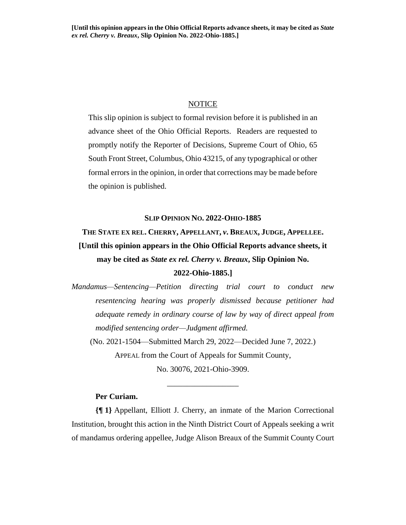#### **NOTICE**

This slip opinion is subject to formal revision before it is published in an advance sheet of the Ohio Official Reports. Readers are requested to promptly notify the Reporter of Decisions, Supreme Court of Ohio, 65 South Front Street, Columbus, Ohio 43215, of any typographical or other formal errors in the opinion, in order that corrections may be made before the opinion is published.

#### **SLIP OPINION NO. 2022-OHIO-1885**

# **THE STATE EX REL. CHERRY, APPELLANT,** *v***. BREAUX, JUDGE, APPELLEE. [Until this opinion appears in the Ohio Official Reports advance sheets, it may be cited as** *State ex rel. Cherry v. Breaux***, Slip Opinion No. 2022-Ohio-1885.]**

*Mandamus—Sentencing—Petition directing trial court to conduct new resentencing hearing was properly dismissed because petitioner had adequate remedy in ordinary course of law by way of direct appeal from modified sentencing order—Judgment affirmed.*

(No. 2021-1504—Submitted March 29, 2022—Decided June 7, 2022.) APPEAL from the Court of Appeals for Summit County,

No. 30076, 2021-Ohio-3909.

\_\_\_\_\_\_\_\_\_\_\_\_\_\_\_\_\_\_

### **Per Curiam.**

**{¶ 1}** Appellant, Elliott J. Cherry, an inmate of the Marion Correctional Institution, brought this action in the Ninth District Court of Appeals seeking a writ of mandamus ordering appellee, Judge Alison Breaux of the Summit County Court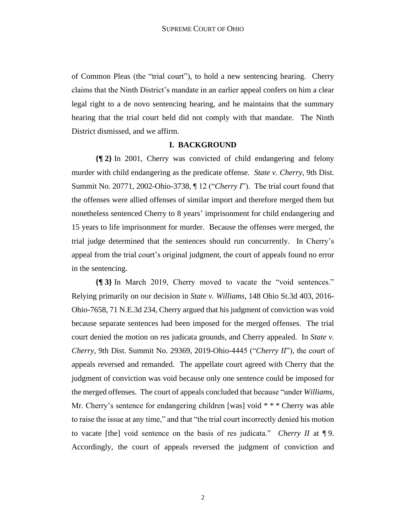of Common Pleas (the "trial court"), to hold a new sentencing hearing. Cherry claims that the Ninth District's mandate in an earlier appeal confers on him a clear legal right to a de novo sentencing hearing, and he maintains that the summary hearing that the trial court held did not comply with that mandate. The Ninth District dismissed, and we affirm.

#### **I. BACKGROUND**

**{¶ 2}** In 2001, Cherry was convicted of child endangering and felony murder with child endangering as the predicate offense. *State v. Cherry*, 9th Dist. Summit No. 20771, 2002-Ohio-3738, ¶ 12 ("*Cherry I*"). The trial court found that the offenses were allied offenses of similar import and therefore merged them but nonetheless sentenced Cherry to 8 years' imprisonment for child endangering and 15 years to life imprisonment for murder. Because the offenses were merged, the trial judge determined that the sentences should run concurrently. In Cherry's appeal from the trial court's original judgment, the court of appeals found no error in the sentencing.

**{¶ 3}** In March 2019, Cherry moved to vacate the "void sentences." Relying primarily on our decision in *State v. Williams*, 148 Ohio St.3d 403, 2016- Ohio-7658, 71 N.E.3d 234, Cherry argued that his judgment of conviction was void because separate sentences had been imposed for the merged offenses. The trial court denied the motion on res judicata grounds, and Cherry appealed. In *State v. Cherry*, 9th Dist. Summit No. 29369, 2019-Ohio-4445 ("*Cherry II*"), the court of appeals reversed and remanded. The appellate court agreed with Cherry that the judgment of conviction was void because only one sentence could be imposed for the merged offenses. The court of appeals concluded that because "under *Williams*, Mr. Cherry's sentence for endangering children [was] void \* \* \* Cherry was able to raise the issue at any time," and that "the trial court incorrectly denied his motion to vacate [the] void sentence on the basis of res judicata." *Cherry II* at ¶ 9. Accordingly, the court of appeals reversed the judgment of conviction and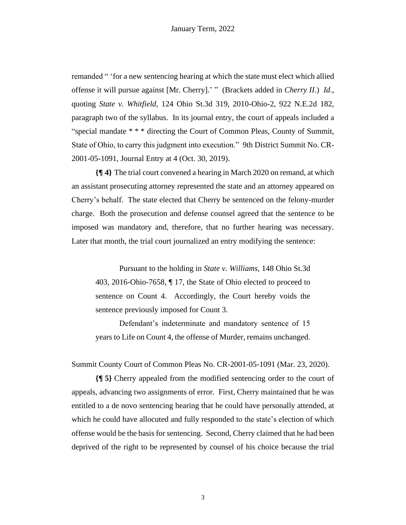remanded " 'for a new sentencing hearing at which the state must elect which allied offense it will pursue against [Mr. Cherry].' " (Brackets added in *Cherry II*.) *Id*., quoting *State v. Whitfield*, 124 Ohio St.3d 319, 2010-Ohio-2, 922 N.E.2d 182, paragraph two of the syllabus. In its journal entry, the court of appeals included a "special mandate \* \* \* directing the Court of Common Pleas, County of Summit, State of Ohio, to carry this judgment into execution." 9th District Summit No. CR-2001-05-1091, Journal Entry at 4 (Oct. 30, 2019).

**{¶ 4}** The trial court convened a hearing in March 2020 on remand, at which an assistant prosecuting attorney represented the state and an attorney appeared on Cherry's behalf. The state elected that Cherry be sentenced on the felony-murder charge. Both the prosecution and defense counsel agreed that the sentence to be imposed was mandatory and, therefore, that no further hearing was necessary. Later that month, the trial court journalized an entry modifying the sentence:

Pursuant to the holding in *State v. Williams*, 148 Ohio St.3d 403, 2016-Ohio-7658, ¶ 17, the State of Ohio elected to proceed to sentence on Count 4. Accordingly, the Court hereby voids the sentence previously imposed for Count 3.

Defendant's indeterminate and mandatory sentence of 15 years to Life on Count 4, the offense of Murder, remains unchanged.

Summit County Court of Common Pleas No. CR-2001-05-1091 (Mar. 23, 2020).

**{¶ 5}** Cherry appealed from the modified sentencing order to the court of appeals, advancing two assignments of error. First, Cherry maintained that he was entitled to a de novo sentencing hearing that he could have personally attended, at which he could have allocuted and fully responded to the state's election of which offense would be the basis for sentencing. Second, Cherry claimed that he had been deprived of the right to be represented by counsel of his choice because the trial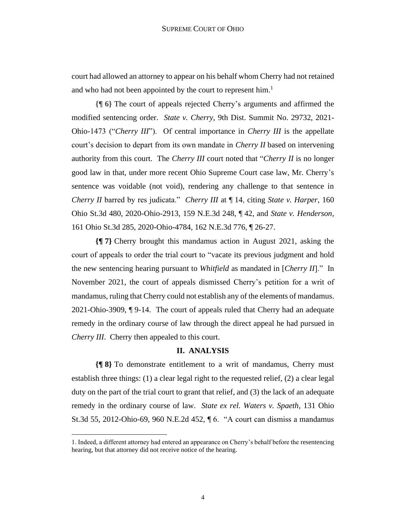court had allowed an attorney to appear on his behalf whom Cherry had not retained and who had not been appointed by the court to represent him.<sup>1</sup>

**{¶ 6}** The court of appeals rejected Cherry's arguments and affirmed the modified sentencing order. *State v. Cherry*, 9th Dist. Summit No. 29732, 2021- Ohio-1473 ("*Cherry III*"). Of central importance in *Cherry III* is the appellate court's decision to depart from its own mandate in *Cherry II* based on intervening authority from this court. The *Cherry III* court noted that "*Cherry II* is no longer good law in that, under more recent Ohio Supreme Court case law, Mr. Cherry's sentence was voidable (not void), rendering any challenge to that sentence in *Cherry II* barred by res judicata." *Cherry III* at ¶ 14, citing *State v. Harper*, 160 Ohio St.3d 480, 2020-Ohio-2913, 159 N.E.3d 248, ¶ 42, and *State v. Henderson*, 161 Ohio St.3d 285, 2020-Ohio-4784, 162 N.E.3d 776, ¶ 26-27.

**{¶ 7}** Cherry brought this mandamus action in August 2021, asking the court of appeals to order the trial court to "vacate its previous judgment and hold the new sentencing hearing pursuant to *Whitfield* as mandated in [*Cherry II*]." In November 2021, the court of appeals dismissed Cherry's petition for a writ of mandamus, ruling that Cherry could not establish any of the elements of mandamus. 2021-Ohio-3909, ¶ 9-14. The court of appeals ruled that Cherry had an adequate remedy in the ordinary course of law through the direct appeal he had pursued in *Cherry III*. Cherry then appealed to this court.

#### **II. ANALYSIS**

**{¶ 8}** To demonstrate entitlement to a writ of mandamus, Cherry must establish three things: (1) a clear legal right to the requested relief, (2) a clear legal duty on the part of the trial court to grant that relief, and (3) the lack of an adequate remedy in the ordinary course of law. *State ex rel. Waters v. Spaeth*, 131 Ohio St.3d 55, 2012-Ohio-69, 960 N.E.2d 452, ¶ 6. "A court can dismiss a mandamus

<sup>1.</sup> Indeed, a different attorney had entered an appearance on Cherry's behalf before the resentencing hearing, but that attorney did not receive notice of the hearing.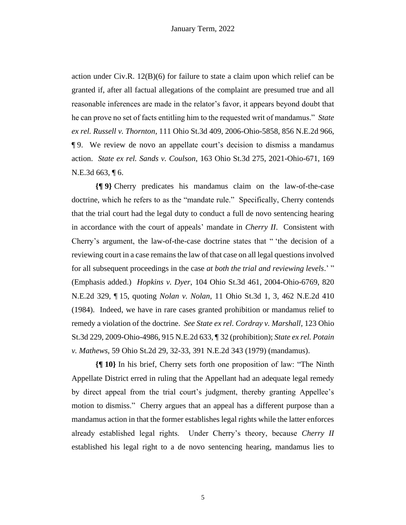action under Civ.R. 12(B)(6) for failure to state a claim upon which relief can be granted if, after all factual allegations of the complaint are presumed true and all reasonable inferences are made in the relator's favor, it appears beyond doubt that he can prove no set of facts entitling him to the requested writ of mandamus." *State ex rel. Russell v. Thornton*, 111 Ohio St.3d 409, 2006-Ohio-5858, 856 N.E.2d 966, ¶ 9. We review de novo an appellate court's decision to dismiss a mandamus action. *State ex rel. Sands v. Coulson*, 163 Ohio St.3d 275, 2021-Ohio-671, 169 N.E.3d 663, ¶ 6.

**{¶ 9}** Cherry predicates his mandamus claim on the law-of-the-case doctrine, which he refers to as the "mandate rule." Specifically, Cherry contends that the trial court had the legal duty to conduct a full de novo sentencing hearing in accordance with the court of appeals' mandate in *Cherry II*. Consistent with Cherry's argument, the law-of-the-case doctrine states that " 'the decision of a reviewing court in a case remains the law of that case on all legal questions involved for all subsequent proceedings in the case *at both the trial and reviewing levels*.' " (Emphasis added.) *Hopkins v. Dyer*, 104 Ohio St.3d 461, 2004-Ohio-6769, 820 N.E.2d 329, ¶ 15, quoting *Nolan v. Nolan*, 11 Ohio St.3d 1, 3, 462 N.E.2d 410 (1984). Indeed, we have in rare cases granted prohibition or mandamus relief to remedy a violation of the doctrine. *See State ex rel. Cordray v. Marshall*, 123 Ohio St.3d 229, 2009-Ohio-4986, 915 N.E.2d 633, ¶ 32 (prohibition); *State ex rel. Potain v. Mathews*, 59 Ohio St.2d 29, 32-33, 391 N.E.2d 343 (1979) (mandamus).

**{¶ 10}** In his brief, Cherry sets forth one proposition of law: "The Ninth Appellate District erred in ruling that the Appellant had an adequate legal remedy by direct appeal from the trial court's judgment, thereby granting Appellee's motion to dismiss." Cherry argues that an appeal has a different purpose than a mandamus action in that the former establishes legal rights while the latter enforces already established legal rights. Under Cherry's theory, because *Cherry II* established his legal right to a de novo sentencing hearing, mandamus lies to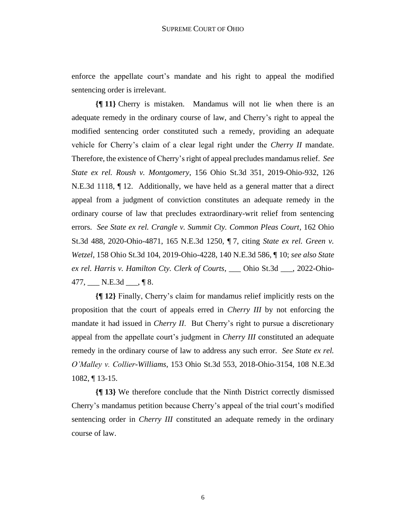enforce the appellate court's mandate and his right to appeal the modified sentencing order is irrelevant.

**{¶ 11}** Cherry is mistaken. Mandamus will not lie when there is an adequate remedy in the ordinary course of law, and Cherry's right to appeal the modified sentencing order constituted such a remedy, providing an adequate vehicle for Cherry's claim of a clear legal right under the *Cherry II* mandate. Therefore, the existence of Cherry's right of appeal precludes mandamus relief. *See State ex rel. Roush v. Montgomery*, 156 Ohio St.3d 351, 2019-Ohio-932, 126 N.E.3d 1118, ¶ 12. Additionally, we have held as a general matter that a direct appeal from a judgment of conviction constitutes an adequate remedy in the ordinary course of law that precludes extraordinary-writ relief from sentencing errors. *See State ex rel. Crangle v. Summit Cty. Common Pleas Court*, 162 Ohio St.3d 488, 2020-Ohio-4871, 165 N.E.3d 1250, ¶ 7, citing *State ex rel. Green v. Wetzel*, 158 Ohio St.3d 104, 2019-Ohio-4228, 140 N.E.3d 586, ¶ 10; *see also State ex rel. Harris v. Hamilton Cty. Clerk of Courts*, \_\_\_ Ohio St.3d \_\_\_, 2022-Ohio- $477, \_\_\_\_\_\_\_\_\_\_\_\_\_\_\_$  N.E.3d  $\_\_\_\_\_\$  ¶ 8.

**{¶ 12}** Finally, Cherry's claim for mandamus relief implicitly rests on the proposition that the court of appeals erred in *Cherry III* by not enforcing the mandate it had issued in *Cherry II*. But Cherry's right to pursue a discretionary appeal from the appellate court's judgment in *Cherry III* constituted an adequate remedy in the ordinary course of law to address any such error. *See State ex rel. O'Malley v. Collier-Williams*, 153 Ohio St.3d 553, 2018-Ohio-3154, 108 N.E.3d 1082, ¶ 13-15.

**{¶ 13}** We therefore conclude that the Ninth District correctly dismissed Cherry's mandamus petition because Cherry's appeal of the trial court's modified sentencing order in *Cherry III* constituted an adequate remedy in the ordinary course of law.